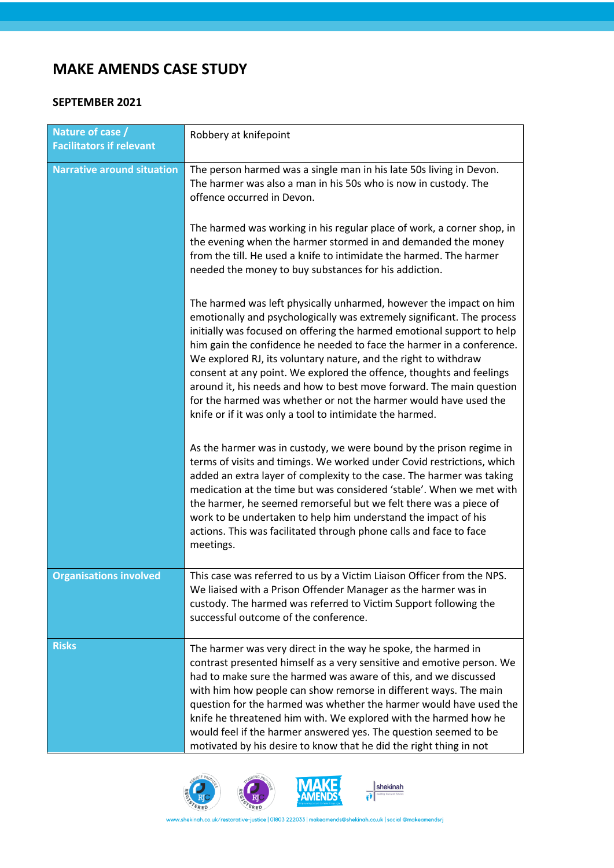## **MAKE AMENDS CASE STUDY**

## **SEPTEMBER 2021**

| Nature of case /<br><b>Facilitators if relevant</b> | Robbery at knifepoint                                                                                                                                                                                                                                                                                                                                                                                                                                                                                                                                                                                                                              |
|-----------------------------------------------------|----------------------------------------------------------------------------------------------------------------------------------------------------------------------------------------------------------------------------------------------------------------------------------------------------------------------------------------------------------------------------------------------------------------------------------------------------------------------------------------------------------------------------------------------------------------------------------------------------------------------------------------------------|
| <b>Narrative around situation</b>                   | The person harmed was a single man in his late 50s living in Devon.<br>The harmer was also a man in his 50s who is now in custody. The<br>offence occurred in Devon.                                                                                                                                                                                                                                                                                                                                                                                                                                                                               |
|                                                     | The harmed was working in his regular place of work, a corner shop, in<br>the evening when the harmer stormed in and demanded the money<br>from the till. He used a knife to intimidate the harmed. The harmer<br>needed the money to buy substances for his addiction.                                                                                                                                                                                                                                                                                                                                                                            |
|                                                     | The harmed was left physically unharmed, however the impact on him<br>emotionally and psychologically was extremely significant. The process<br>initially was focused on offering the harmed emotional support to help<br>him gain the confidence he needed to face the harmer in a conference.<br>We explored RJ, its voluntary nature, and the right to withdraw<br>consent at any point. We explored the offence, thoughts and feelings<br>around it, his needs and how to best move forward. The main question<br>for the harmed was whether or not the harmer would have used the<br>knife or if it was only a tool to intimidate the harmed. |
|                                                     | As the harmer was in custody, we were bound by the prison regime in<br>terms of visits and timings. We worked under Covid restrictions, which<br>added an extra layer of complexity to the case. The harmer was taking<br>medication at the time but was considered 'stable'. When we met with<br>the harmer, he seemed remorseful but we felt there was a piece of<br>work to be undertaken to help him understand the impact of his<br>actions. This was facilitated through phone calls and face to face<br>meetings.                                                                                                                           |
| <b>Organisations involved</b>                       | This case was referred to us by a Victim Liaison Officer from the NPS.<br>We liaised with a Prison Offender Manager as the harmer was in<br>custody. The harmed was referred to Victim Support following the<br>successful outcome of the conference.                                                                                                                                                                                                                                                                                                                                                                                              |
| <b>Risks</b>                                        | The harmer was very direct in the way he spoke, the harmed in<br>contrast presented himself as a very sensitive and emotive person. We<br>had to make sure the harmed was aware of this, and we discussed<br>with him how people can show remorse in different ways. The main<br>question for the harmed was whether the harmer would have used the<br>knife he threatened him with. We explored with the harmed how he<br>would feel if the harmer answered yes. The question seemed to be<br>motivated by his desire to know that he did the right thing in not                                                                                  |





 $\overline{\left\| \bullet \right\|_{\text{hadron and phase}}}$ 

www.shekinah.co.uk/restorative-justice | 01803 222033 | makeamends@shekinah.co.uk | social @makeamendsrj